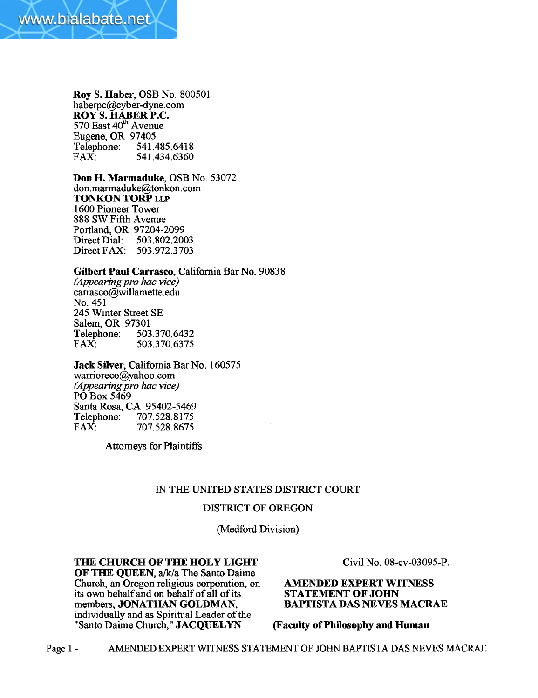

Roy S. Haber, OSB No. 800501 haberpc@cyber-dyne.com ROY'S. HABER P.C.  $570$  East  $40<sup>th</sup>$  Avenue Eugene, OR 97405<br>Telephone: 541. Telephone: 541.485.6418<br>FAX: 541.434.6360 541.434.6360

Don H. Marmaduke, OSB No. 53072 don. marmaduke@tonkon.com TONKON TORP LLP 1600 Pioneer Tower 888 SWFifth Avenue Portland, OR 97204-2099<br>Direct Dial: 503.802.200 503.802.2003 Direct FAX: 503.972.3703

Gilbert Paul Carrasco, California Bar No. 90838

(Appearing pro hac vice) carrasco@willamette.edu No. 451 245 Winter Street SE Salem, OR 97301 Telephone: 503.370.6432<br>FAX: 503.370.6375 FAX: 503.370.6375

Jack Silver, California Bar No. 160575 warrioreco@yahoo.com (Appearing pro hac vice) PO Box 5469 Santa Rosa, CA 95402-5469<br>Telephone: 707.528.8175

Attorneys for Plaintiffs

FAX: 707.528.8675

Telephone: 707.528.8175<br>FAX: 707.528.8675

### IN THE UNTED STATES DISTRICT COURT

### DISTRICT OF OREGON

(Medford Division)

## THE CHURCH OF THE HOLY LIGHT

OF THE QUEEN, a/k/a The Santo Daime Church, an Oregon religious corporation, on its own behalf and on behalf of all of its members, JONATHAN GOLDMAN, individually and as Spiritual Leader of the "Santo Daime Church," JACQUELYN

Civil No. 08-cv-03095-P,

## **AMENDED EXPERT WITNESS** STATEMENT OF JOHN BAPTISTA DAS NEVES MACRAE

(Faculty of Philosophy and Human

Page 1 - AMENDED EXPERT WITNESS STATEMENT OF JOHN BAPTISTA DAS NEVES MACRAE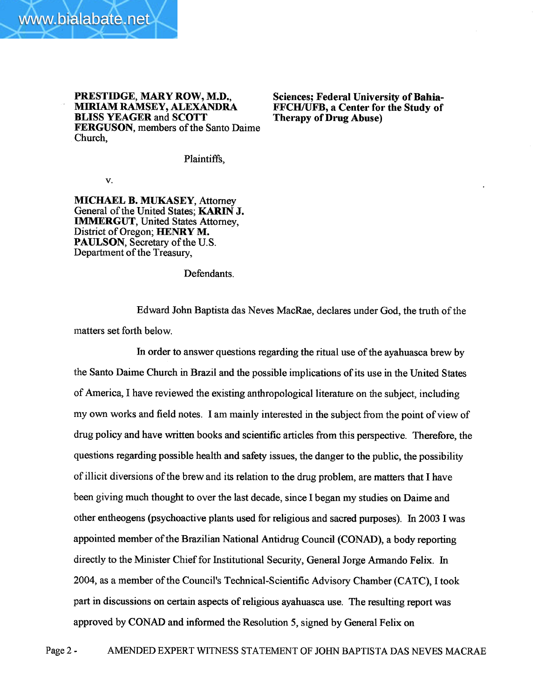

PRESTIDGE, MARY ROW, M.D., MIRIAM RAMSEY, ALEXANDRA BLISS YEAGER and SCOTT FERGUSON, members of the Santo Daime Church,

Sciences; Federal University of Bahia-FFCH/UFB, a Center for the Study of Therapy of Drug Abuse)

Plaintiffs,

v.

MICHAEL B. MUKASEY, Attorney General of the United States; KARIN J. IMMRGUT, United States Attorney, District of Oregon; HENRY M. PAULSON, Secretary of the U.S. Department of the Treasury,

Defendants.

Edward John Baptista das Neves MacRae, declares under God, the truth of the matters set forth below.

In order to answer questions regarding the ritual use of the ayahuasca brew by the Santo Daime Church in Brazil and the possible implications of its use in the United States of America, I have reviewed the existing anthropological literature on the subject, including my own works and field notes. I am mainly interested in the subject from the point of view of drug policy and have wrtten books and scientifc articles from this perspective. Therefore, the questions regarding possible health and safety issues, the danger to the public, the possibility of illicit diversions of the brew and its relation to the drug problem, are matters that I have been giving much thought to over the last decade, since I began my studies on Daime and other entheogens (psychoactive plants used for religious and sacred purposes). In 2003 I was appointed member of the Brazilian National Antidrug Council (CONAD), a body reporting directly to the Minister Chief for Institutional Security, General Jorge Armando Felix. In 2004, as a member of the Council's Technical-Scientific Advisory Chamber (CATC), I took part in discussions on certain aspects of religious ayahuasca use. The resulting report was approved by CONAD and informed the Resolution 5, signed by General Felix on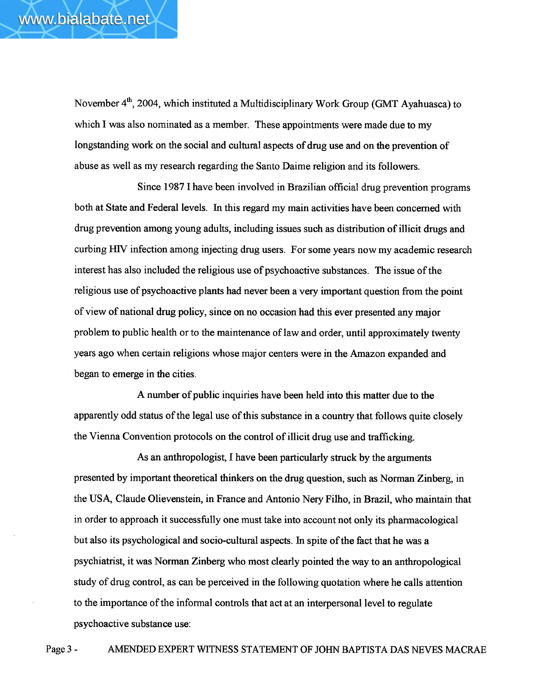November 4<sup>th</sup>, 2004, which instituted a Multidisciplinary Work Group (GMT Ayahuasca) to which I was also nominated as a member. These appointments were made due to my longstanding work on the social and cultural aspects of drug use and on the prevention of abuse as well as my research regarding the Santo Daime religion and its followers.

Since 1987 I have been involved in Brazilian official drug prevention programs both at State and Federal levels. In this regard my main activities have been concerned with drug prevention among young adults, including issues such as distribution of illicit drugs and curbing HIV infection among injecting drug users. For some years now my academic research interest has also included the religious use of psychoactive substaces. The issue of the religious use of psychoactive plants had never been a very important question from the point of view of national drug policy, since on no occasion had this ever presented any major problem to public health or to the maintenance of law and order, until approximately twenty years ago when certain religions whose major centers were in the Amazon expanded and began to emerge in the cities.

A number of public inquiries have been held into this matter due to the apparently odd status of the legal use of this substance in a country that follows quite closely the Vienna Convention protocols on the control of illicit drug use and trafficking.

As an anthropologist, I have been particularly struck by the arguments presented by important theoretical thinkers on the drug question, such as Norman Zinberg, in the USA, Claude Olievenstein, in France and Antonio Nery Filho, in Brazil, who maintain that in order to approach it successfully one must take into account not only its pharmacological but also its psychological and socio-cultural aspects. In spite of the fact that he was a psychiatrist, it was Norman Zinberg who most clearly pointed the way to an anthopological study of drug control, as can be perceived in the following quotation where he calls attention to the importance of the informal controls that act at an interpersonal level to regulate psychoactive substance use:

Page 3 - AMENDED EXPERT WITNESS STATEMENT OF JOHN BAPTISTA DAS NEVES MACRAE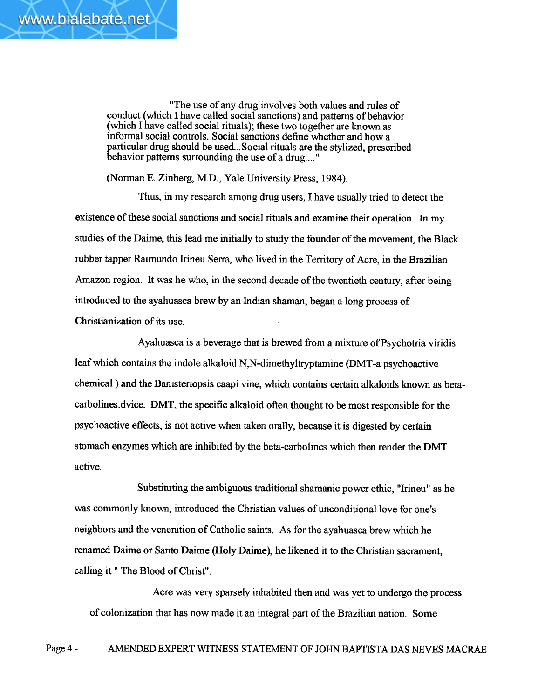www.bialabate.net

"The use of any drug involves both values and rules of conduct (which I have called social sanctions) and patterns of behavior (which I have called social rituals); these two together are known as informal social controls. Social sanctions define whether and how a particular drug should be used...Social rituals are the stylized, prescribed behavior patterns surrounding the use of a drug.... "

(Norman E. Zinberg, M.D., Yale University Press, 1984).

Thus, in my research among drug users, I have usually tried to detect the existence of these social sanctions and social rituals and examine their operation. In my studies of the Daime, this lead me initially to study the founder of the movement, the Black rubber tapper Raimundo Irineu Serra, who lived in the Terrtory of Acre, in the Brazilian Amazon region. It was he who, in the second decade of the twentieth century, after being introduced to the ayahuasca brew by an Indian shaman, began a long process of Christianization of its use.

Ayahuasca is a beverage that is brewed from a mixture of Psychotria viridis leaf which contains the indole alkaloid N,N-dimethyltrptamine (DMT-a psychoactive chemical) and the Banisteriopsis caapi vine, which contains certain alkaloids known as betacarbolines.dvice. DMT, the specific alkaloid often thought to be most responsible for the psychoactive effects, is not active when taken orally, because it is digested by certain stomach enzymes which are inhibited by the beta-carbolines which then render the DMT active.

Substituting the ambiguous traditional shamanic power ethic, "Irineu" as he was commonly known, introduced the Christian values of unconditional love for one's neighbors and the veneration of Catholic saints. As for the ayahuasca brew which he renamed Daime or Santo Daime (Holy Daime), he likened it to the Christian sacrament, calling it " The Blood of Christ".

Acre was very sparsely inhabited then and was yet to undergo the process of colonization that has now made it an integral par of the Brazilian nation. Some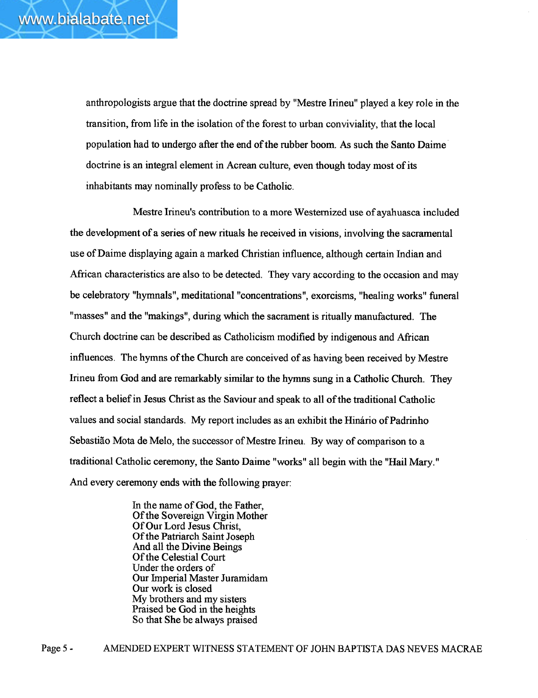anthropologists argue that the doctrine spread by "Mestre lrineu" played a key role in the transition, from life in the isolation of the forest to urban conviviality, that the local population had to undergo after the end of the rubber boom. As such the Santo Daime doctrine is an integral element in Acrean culture, even though today most of its inhabitants may nominally profess to be Catholic.

Mestre Irineu's contribution to a more Westernized use of ayahuasca included the development of a series of new rituls he received in visions, involving the sacramental use of Daime displaying again a marked Christian influence, although certain Indian and African characteristics are also to be detected. They vary according to the occasion and may be celebratory "hymnals", meditational "concentrations", exorcisms, "healing works" funeral "masses" and the "makings", during which the sacrament is ritually manufactured. The Church doctrine can be described as Catholicism modified by indigenous and Mrican influences. The hymns of the Church are conceived of as having been received by Mestre Irineu from God and are remarkably similar to the hymns sung in a Catholic Church. They reflect a belief in Jesus Christ as the Saviour and speak to all of the traditional Catholic values and social standards. My report includes as an exhibit the Hinário ofPadrinho Sebastiao Mota de Melo, the successor of Mestre Irineu. By way of comparison to a traditional Catholic ceremony, the Santo Daime "works" all begin with the "Hail Mary. " And every ceremony ends with the following prayer:

> In the name of God, the Father, Of the Sovereign Virgin Mother Of Our Lord Jesus Christ, Of the Patrarch Saint Joseph And all the Divine Beings Of the Celestial Court Under the orders of Our Imperial Master Juramidam Our work is closed My brothers and my sisters Praised be God in the heights So that She be always praised

Page 5- AMENDED EXPERT WITNESS STATEMENT OF JOHN BAPTISTA DAS NEVES MACRAE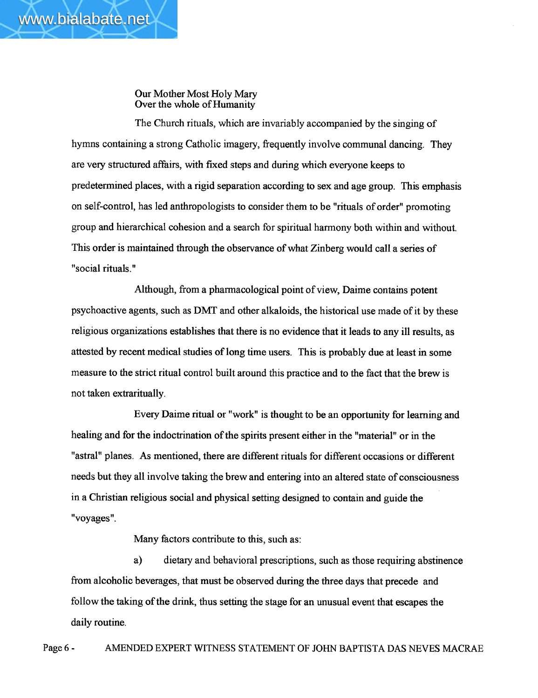www.bialabate.net

The Church rituals, which are invariably accompanied by the singing of hymns containing a strong Catholic imagery, frequently involve communal dancing. They are very structured affairs, with fixed steps and during which everyone keeps to predetermined places, with a rigid separation according to sex and age group. This emphasis on self-control, has led anthropologists to consider them to be "rituals of order" promoting group and hierarchical cohesion and a search for spiritual harmony both within and without. This order is maintained through the observance of what Zinberg would call a series of "social rituals."

Although, from a pharmacological point of view, Daime contains potent psychoactive agents, such as DMT and other alkaloids, the historical use made of it by these religious organizations establishes that there is no evidence that it leads to any ill results, as attested by recent medical studies of long time users. This is probably due at least in some measure to the strict ritual control built around this practice and to the fact that the brew is not taken extraritually.

Every Daime ritual or "work" is thought to be an opportunity for learning and healing and for the indoctrination of the spirits present either in the "material" or in the "astral" planes. As mentioned, there are different rituals for different occaions or different needs but they all involve taking the brew and entering into an altered state of consciousness in a Christian religious social and physical setting designed to contain and guide the "voyages".

Many factors contribute to this, such as:

a) dietary and behavioral prescriptions, such as those requiring abstinence from alcoholic beverages, that must be observed during the three days that precede and follow the taking of the drink, thus setting the stage for an unusual event that escapes the daily routine.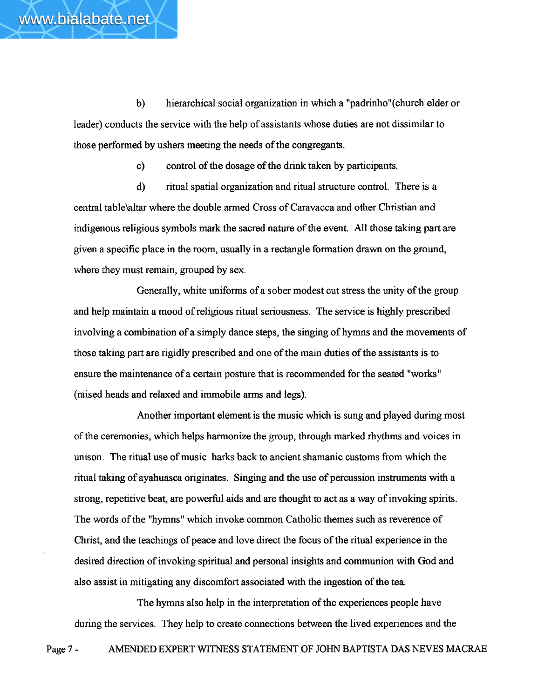those performed by ushers meeting the needs of the congregants.

www.bialabate.net

c) control of the dosage of the drink taken by paricipants.

d) ritual spatial organization and ritual structure control. There is a central table\altar where the double armed Cross of Caravacca and other Christian and indigenous religious symbols mark the sacred nature of the event. All those taking part are given a specific place in the room, usually in a rectangle formation drawn on the ground, where they must remain, grouped by sex.

Generally, white uniforms of a sober modest cut stress the unity of the group and help maintain a mood of religious ritual seriousness. The service is highly prescribed involving a combination of a simply dance steps, the singing of hymns and the movements of those taking part are rigidly prescribed and one of the main duties of the assistants is to ensure the maintenance of a certain posture that is recommended for the seated "works" (raised heads and relaxed and immobile arms and legs).

Another important element is the music which is sung and played during most of the ceremonies, which helps harmonize the group, through marked rhythms and voices in unison. The ritual use of music harks back to ancient shamanic customs from which the ritual taking of ayahuasca originates. Singing and the use of percussion instruments with a strong, repetitive beat, are powerful aids and are thought to act as a way of invoking spirits. The words of the "hymns" which invoke common Catholic themes such as reverence of Christ, and the teachings of peace and love direct the focus of the ritual experience in the desired direction of invoking spiritual and personal insights and communion with God and also assist in mitigating any discomfort associated with the ingestion of the tea.

The hymns also help in the interpretation of the experiences people have during the services. They help to create connections between the lived experiences and the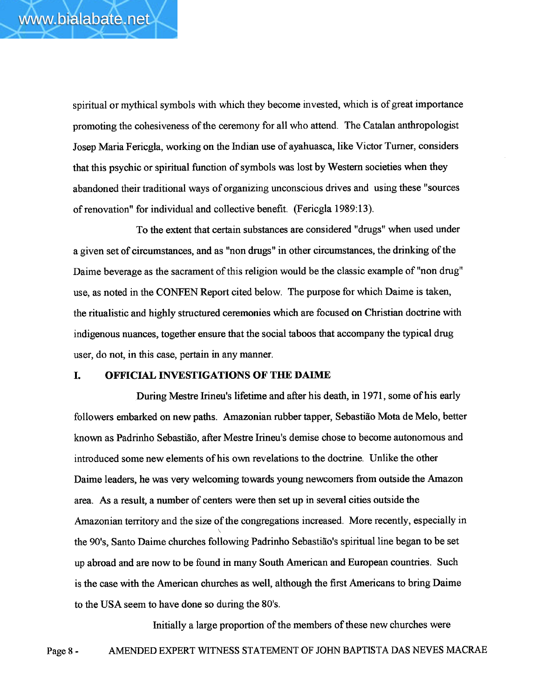spiritual or mythical symbols with which they become invested, which is of great importance promoting the cohesiveness of the ceremony for all who attend. The Catalan anthropologist Josep Maria Fericgla, working on the Indian use of ayahuasca, like Victor Turner, considers that this psychic or spiritual function of symbols was lost by Western societies when they abandoned their traditional ways of organizing unconscious drives and using these "sources of renovation" for individual and collective benefit. (Fericgla 1989:13).

To the extent that certain substances are considered "drugs" when used under a given set of circumstances, and as "non drugs" in other circumstances, the drinking of the Daime beverage as the sacrament of this religion would be the classic example of "non drug" use, as noted in the CONFEN Report cited below. The purpose for which Daime is taken, the ritualistic and highly structured ceremonies which are focused on Christian doctrine with indigenous nuances, together ensure that the social taboos that accompany the typical drug user, do not, in this case, pertain in any manner.

# I. OFFICIAL INVESTIGATIONS OF THE DAIME

During Mestre Irneu's lifetime and after his death, in 1971, some of his early followers embarked on new paths. Amazonian rubber tapper, Sebastião Mota de Melo, better known as Padrinho Sebastião, after Mestre Irineu's demise chose to become autonomous and introduced some new elements of his own revelations to the doctrine. Unlike the other Daime leaders, he was very welcoming towards young newcomers from outside the Amazon area. As a result, a number of centers were then set up in several cities outside the Amazonian territory and the size of the congregations increased. More recently, especially in , the 90's, Santo Daime churches following Padrinho Sebastião's spiritual line began to be set up abroad and are now to be found in many South American and European countries. Such is the case with the American churches as well, although the first Americans to bring Daime to the USA seem to have done so during the 80's.

Initially a large proportion of the members of these new churches were Page 8- AMENDED EXPERT WITNESS STATEMENT OF JOHN BAPTISTA DAS NEVES MACRAE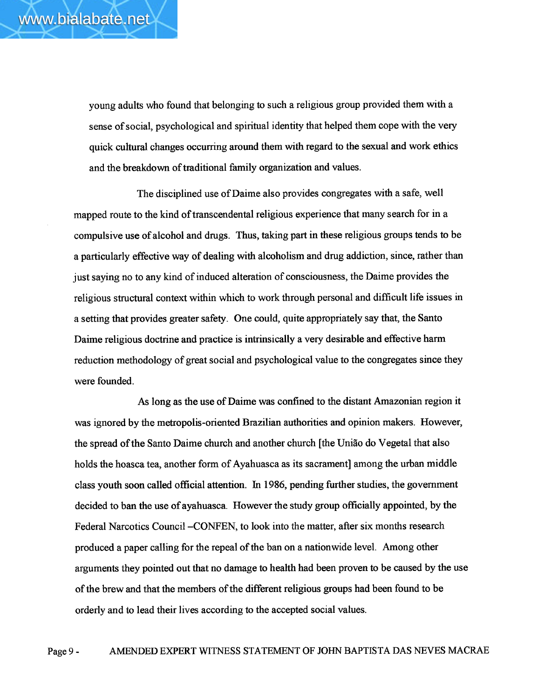young adults who found that belonging to such a religious group provided them with a sense of social, psychological and spiritual identity that helped them cope with the very quick cultural changes occurring around them with regard to the sexual and work ethics and the breakdown of traditional family organization and values.

The disciplined use of Daime also provides congregates with a safe, well mapped route to the kind of transcendental religious experience that many search for in a compulsive use of alcohol and drugs. Thus, taking part in these religious groups tends to be a particularly effective way of dealing with alcoholism and drug addiction, since, rather than just saying no to any kind of induced alteration of consciousness, the Daime provides the religious structural context within which to work through personal and difficult life issues in a setting that provides greater safety. One could, quite appropriately say that, the Santo Daime religious doctrine and practice is intrinsically a very desirable and effective harm reduction methodology of great social and psychological value to the congregates since they were founded.

As long as the use of Dairne was confned to the distant Amazonian region it was ignored by the metopolis-oriented Brazilian authorities and opinion makers. However, the spread of the Santo Daime church and another church (the Uniao do Vegetal that also holds the hoasca tea, another form of Ayahuasca as its sacrament among the urban middle class youth soon called official attention. In 1986, pending further studies, the government decided to ban the use of ayahuasca. However the study group officially appointed, by the Federal Narcotics Council-CONFEN, to look into the mattr, after six months research produced a paper calling for the repeal of the ban on a nationwide leveL. Among other arguments they pointed out that no damage to health had been proven to be caused by the use of the brew and that the members of the different religious groups had been found to be orderly and to lead their lives according to the accepted social values.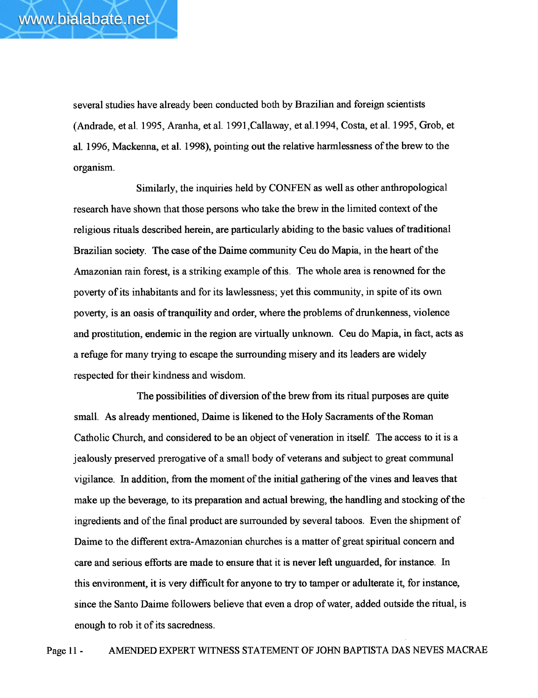several studies have already been conducted both by Brazilian and foreign scientists (Andrade, etal. 1995, Aranha, etal. 1991,Callaway, eta1.994, Costa, etal. 1995, Grob, et aL. 1996, Mackenna, et al. 1998), pointing out the relative harmlessness of the brew to the organism.

Similarly, the inquiries held by CONFEN as well as other anthropological research have shown that those persons who take the brew in the limited context of the religious rituals described herein, are particularly abiding to the basic values of traditional Brazilian society. The case of the Daime community Ceu do Mapia, in the heart of the Amazonian rain forest, is a striking example of this. The whole area is renowned for the poverty of its inhabitants and for its lawlessness; yet this community, in spite of its own poverty, is an oasis of tranquility and order, where the problems of drunkenness, violence and prostitution, endemic in the region are virtally unkown. Ceu do Mapia, in fact, acts as a refuge for many trying to escape the surrounding misery and its leaders are widely respected for their kindness and wisdom.

The possibilities of diversion of the brew from its ritual purposes are quite small. As already mentioned, Daime is likened to the Holy Sacraments of the Roman Catholic Church, and considered to be an object of veneration in itself. The access to it is a jealously preserved prerogative of a small body of veterans and subject to great communal vigilance. In addition, from the moment of the initial gathering of the vines and leaves that make up the beverage, to its preparation and actal brewing, the handling and stocking of the ingredients and of the final product are surrounded by several taboos. Even the shipment of Daime to the different extra-Amazonian churches is a matter of great spiritual concern and care and serious efforts are made to ensure that it is never left unguarded, for instance. In this environment, it is very difficult for anyone to try to tamper or adulterate it, for instance, since the Santo Daime followers believe that even a drop of water, added outside the ritual, is enough to rob it of its sacredness.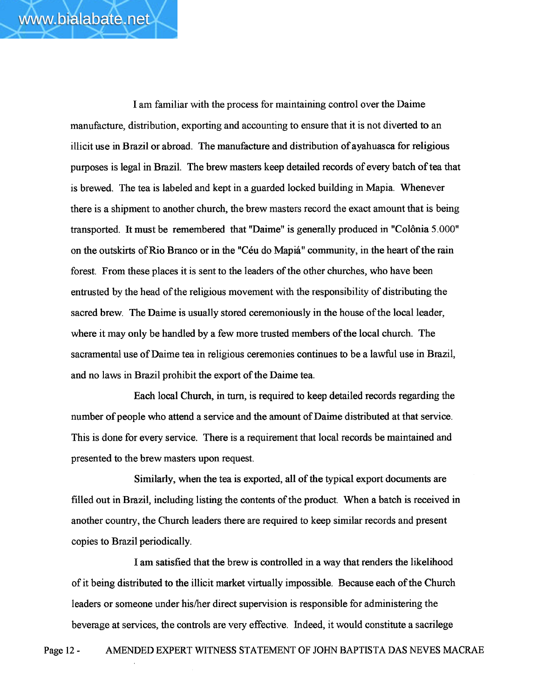I am familiar with the process for maintaining control over the Daime manufacture, distribution, exporting and accounting to ensure that it is not diverted to an illicit use in Brazil or abroad. The manufacture and distrbution of ayahuasca for religious purposes is legal in BraziL. The brew masters keep detailed records of every batch of tea that is brewed. The tea is labeled and kept in a guarded locked building in Mapia. Whenever there is a shipment to another church, the brew masters record the exact amount that is being transported. It must be remembered that "Daime" is generally produced in "Colônia 5.000" on the outskirts of Rio Branco or in the "Céu do Mapiá" community, in the heart of the rain forest. From these places it is sent to the leaders of the other churches, who have been entrusted by the head of the religious movement with the responsibility of distributing the sacred brew. The Daime is usually stored ceremoniously in the house of the local leader, where it may only be handled by a few more trusted members of the local church. The sacramental use of Daime tea in religious ceremonies continues to be a lawful use in Brazil, and no laws in Brazil prohibit the export of the Daime tea.

Each local Church, in turn, is required to keep detailed records regarding the number of people who attend a service and the amount of Daime distributed at that service. This is done for every service. There is a requirement that local records be maintained and presented to the brew masters upon request.

Similarly, when the tea is exported, all of the typical export documents are filled out in Brazil, including listing the contents of the product. When a batch is received in another country, the Church leaders there are required to keep similar records and present copies to Brazil periodically.

I am satisfied that the brew is controlled in a way that renders the likelihood of it being distributed to the illicit market virtally impossible. Because each of the Church leaders or someone under his/her direct supervision is responsible for administering the beverage at services, the controls are very effective. Indeed, it would constitute a sacrilege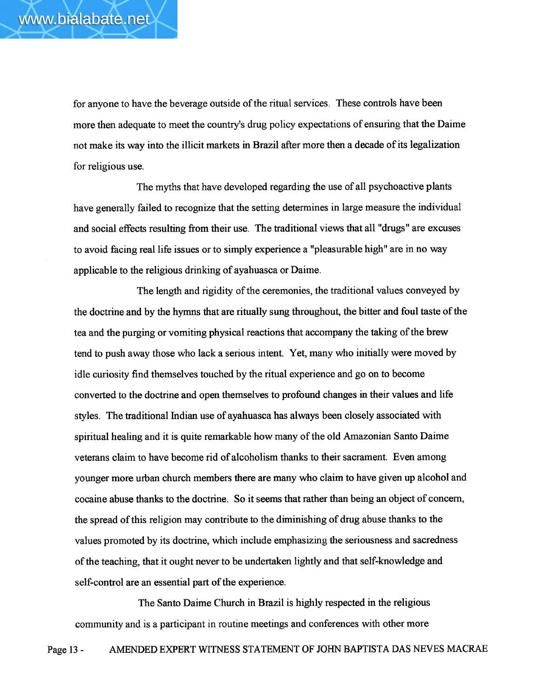for anyone to have the beverage outside of the ritual services. These controls have been more then adequate to meet the country's drug policy expectations of ensuring that the Daime not make its way into the illcit markets in Brazil afer more then a decade of its legalization for religious use.

The myths that have developed regarding the use of all psychoactive plants have generally failed to recognize that the setting determines in large measure the individual and social effects resulting from their use. The traditional views that all "drugs" are excuses to avoid facing real life issues or to simply experience a "pleasurable high" are in no way applicable to the religious drinking of ayahuasca or Daime.

The length and rigidity of the ceremonies, the traditional values conveyed by the doctrine and by the hyms that are ritually sung throughout, the bitter and foul tate of the tea and the purging or vomiting physical reactions that accompany the taking of the brew tend to push away those who lack a serious intent. Yet, many who initially were moved by idle curiosity find themselves touched by the ritual experience and go on to become converted to the doctrie and open themselves to profound changes in their values and life styles. The traditional Indian use of ayahuasca has always been closely associated with spiritual healing and it is quite remarkable how many of the old Amazonian Santo Daime veterans claim to have become rid of alcoholism thanks to their sacrament. Even among younger more urban church members there are many who claim to have given up alcohol and cocaine abuse thanks to the doctrine. So it seems that rather than being an object of concern, the spread of this religion may contribute to the diminishing of drug abuse thanks to the values promoted by its doctrine, which include emphasizing the seriousness and sacredness of the teaching, that it ought never to be underten lightly and that self-knowledge and self-control are an essential part of the experience.

The Santo Daime Church in Brazil is highly respected in the religious community and is a participant in routine meetings and conferences with other more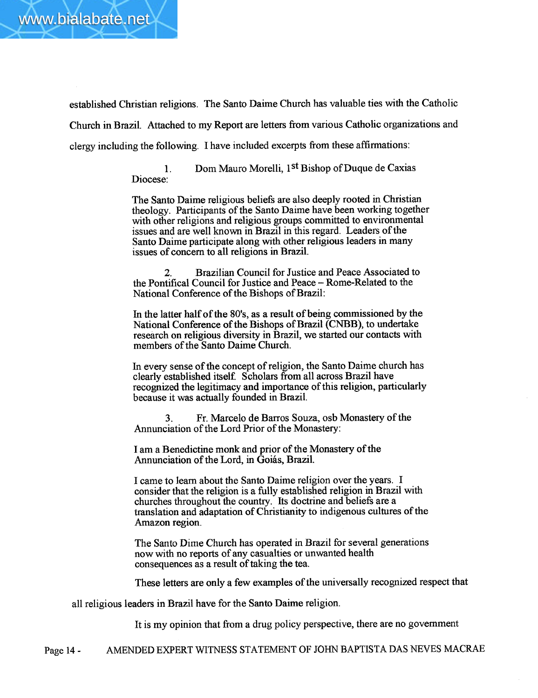

established Christian religions. The Santo Daime Church has valuable ties with the Catholic Church in Brazil. Attached to my Report are letters from various Catholic organizations and clergy including the following. I have included excerpts from these affirmations:

> 1. Diocese: Dom Mauro Morelli, 1<sup>st</sup> Bishop of Duque de Caxias

The Santo Daime religious beliefs are also deeply rooted in Christian theology. Participants of the Santo Daime have been working together with other religions and religious groups committed to environmental issues and are well known in Brazil in this regard. Leaders of the Santo Daime participate along with other religious leaders in many issues of concern to all religions in BraziL.

2. Brazilian Council for Justice and Peace Associated to the Pontifcal Council for Justice and Peace - Rome-Related to the National Conference of the Bishops of Brazil:

In the latter half of the 80's, as a result of being commissioned by the National Conference of the Bishops of Brazil (CNBB), to undertake research on religious diversity in Brazil, we started our contacts with members of the Santo Daime Church.

In every sense of the concept of religion, the Santo Daime church has clearly established itself. Scholars from all across Brazil have recognized the legitimacy and importance of this religion, particularly because it was actually founded in Brazil.

3. Fr. Marcelo de Barros Souza, osb Monastery of the Annunciation of the Lord Prior of the Monastery:

I am a Benedictine monk and prior of the Monastery of the Annunciation of the Lord, in Goiás, BraziL.

I came to learn about the Santo Daime religion over the years. I consider that the religion is a fully established religion in Brazil with churches throughout the country. Its doctrine and beliefs are a translation and adaptation of Chrstianity to indigenous cultures of the Amazon region.

The Santo Dime Church has operated in Brazil for several generations now with no reports of any casualties or unwanted health consequences as a result of taking the tea.

These letters are only a few examples of the universally recognized respect that

all religious leaders in Brazil have for the Santo Daime religion.

It is my opinion that from a drug policy perspective, there are no government

Page 14- AMENDED EXPERT WITNESS STATEMENT OF JOHN BAPTISTA DAS NEVES MACRAE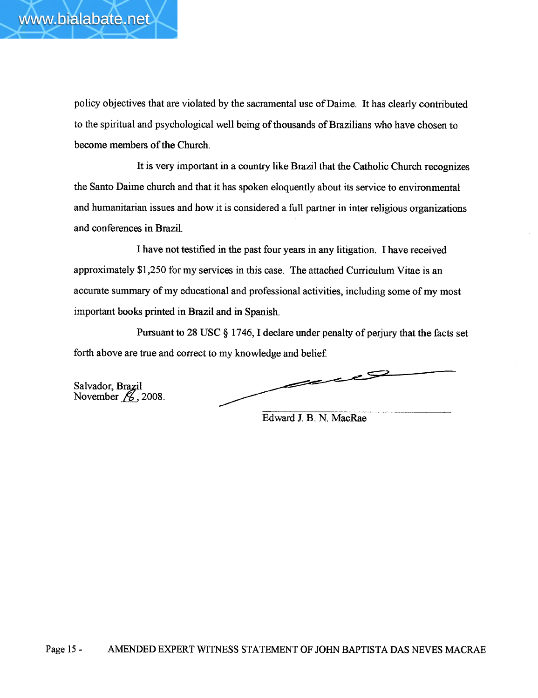

policy objectives that are violated by the sacramental use of Daime. It has clearly contributed to the spiritual and psychological well being of thousands of Brazilians who have chosen to become members of the Church.

It is very important in a country like Brazil that the Catholic Church recognizes the Santo Daime church and that it has spoken eloquently about its service to environmental and humanitarian issues and how it is considered a full parner in inter religious organizations and conferences in BraziL.

I have not testified in the past four years in any litigation. I have received approximately \$1,250 for my services in this case. The attached Curriculum Vitae is an accurate summary of my educational and professional activities, including some of my most important books printed in Brazil and in Spanish.

Pursuant to 28 USC § 1746, I declare under penalty of perjury that the facts set forth above are true and correct to my knowledge and belief.

Salvador, Bra<mark>z</mark>i November  $\beta$ , 2008.

e S I سنصر

Edward 1. B. N. MacRae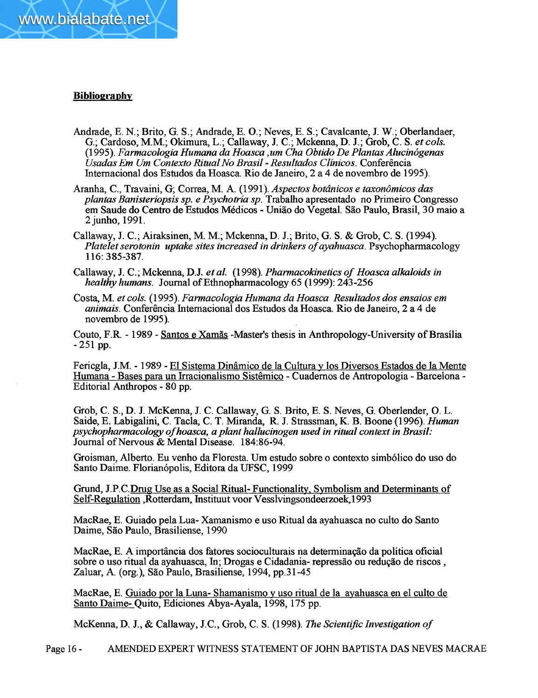

# **Bibliography**

- Andrade, E. N.; Brito, G. S.; Andrade, E. O.; Neves, E. S.; Cavalcante, J. W.; Oberlandaer, G.; Cardoso, M.M.; Okimura, L.; Callaway, 1 C.; Mckenna, D. J.; Grob, C. S. et cols. (1995). Farmacologia Humana da Hoasca , um Cha Obtido De Plantas Alucinógenas Usadas Em Um Contexto Ritual No Brasil - Resultados Clínicos. Conferência Internacional dos Estudos da Hoasca. Rio de Janeiro, 2 a 4 de novembro de 1995).
- Aranha, C., Travaini, G; Correa, M. A. (1991). Aspectos botânicos e taxonômicos das plantas Banisteriopsis sp. e Psychotria sp. Trabalho apresentado no Primeiro Congresso em Saude do Centro de Estudos Médicos - União do Vegetal. São Paulo, Brasil, 30 maio a 2 junho, 1991.
- Callaway, J. C.; Airaksinen, M. M.; Mckenna, D. J.; Brito, G. S. & Grob, C. S. (1994). Platelet serotonin uptake sites increased in drinkers of ayahuasca. Psychopharmacology 116: 385-387.
- Callaway, J. C.; Mckenna, D.J. et al. (1998). Pharmacokinetics of Hoasca alkaloids in healthy humans. Journal of Ethnopharmacology 65 (1999): 243-256
- Costa, M. et cols. (1995). Farmacologia Humana da Hoasca Resultados dos ensaios em animais. Conferência Intemacional dos Estudos da Hoasca. Rio de Janeiro, 2 a 4 de novembro de 1995).

Couto, F.R. - 1989 - Santos e Xamas -Master's thesis in Anthropology-University of Brasília - 251 pp.

Fericgla, 1M. - 1989 - El Sistema Dinâmico de la Cultura y los Diversos Estados de la Mente Humana - Bases para un Irracionalismo Sistêmico - Cuadernos de Antropologia - Barcelona -Editorial Anthropos - 80 pp.

Grob, C. S., D. J. McKenna, J. C. Callaway, G. S. Brito, E. S. Neves, G. Oberlender, O. L. Saide, E. Labigalini, C. Tacla, C. T. Miranda, R. J. Strassman, K. B. Boone (1996). Human psychopharmacology ofhoasca, a plant hallucinogen used in ritual context in Brasil: Journal of Nervous & Mental Disease. 184:86-94.

Groisman, Alberto. Eu venho da Floresta. Urn estudo sobre 0 contexto simbólico do uso do Santo Daime. Florianópolis, Editora da UFSC, 1999

Grund, J.P.C.Drug Use as a Social Ritual- Functionality, Symbolism and Determinants of Self-Regulation ,Rotterdam, Instituut voor Vesslvingsondeerzoek, 1993

MacRae, E. Guiado pela Lua- Xamanismo e uso Ritual da ayahuasca no culto do Santo Daime, São Paulo, Brasiliense, 1990

MacRae, E. A importância dos fatores socioculturais na determinação da política oficial sobre 0 uso ritual da ayahuasca, In; Drogas e Cidadania- repressão ou redução de riscos , Zaluar, A. (org.), São Paulo, Brasiliense, 1994, pp.31-45

MacRae, E. Guiado por la Luna- Shamanismo y uso ritual de la ayahuasca en el culto de Santo Daime- Quito, Ediciones Abya-Ayala, 1998, 175 pp.

McKenna, D. J., & Callaway, J.C., Grob, C. S. (1998). The Scientific Investigation of

Page 16- AMENDED EXPERT WITNESS STATEMENT OF JOHN BAPTISTA DAS NEVES MACRAE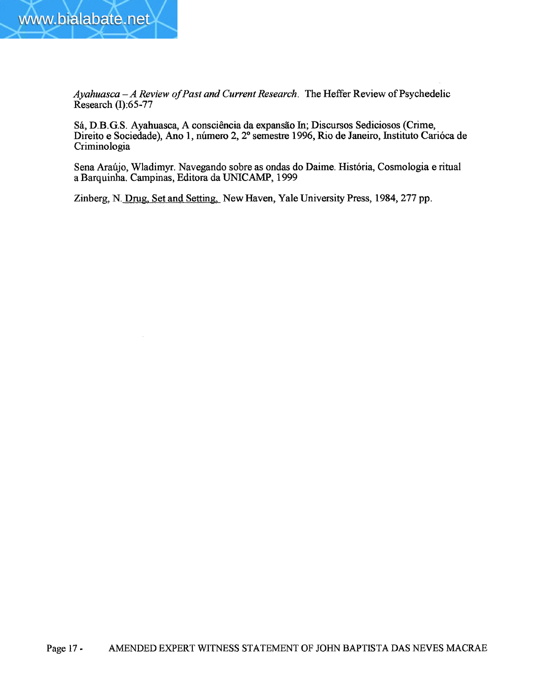

 $Ayahuasca - A Review of Past and Current Research$ . The Heffer Review of Psychedelic Research (1):65-77

Sá, D.B.G.S. Ayahuasca, A consciência da expansão In; Discursos Sediciosos (Crime, Direito e Sociedade), Ano 1, número 2, 2° semestre 1996, Rio de Janeiro, Instituto Carióca de Criminologia

Sena Araújo, Wladimyr. Navegando sobre as ondas do Daime. História, Cosmologia e ritual a Barquinha. Campinas, Editora da UNICAMP, 1999

Zinberg, N. Drug, Set and Setting, New Haven, Yale University Press, 1984, 277 pp.